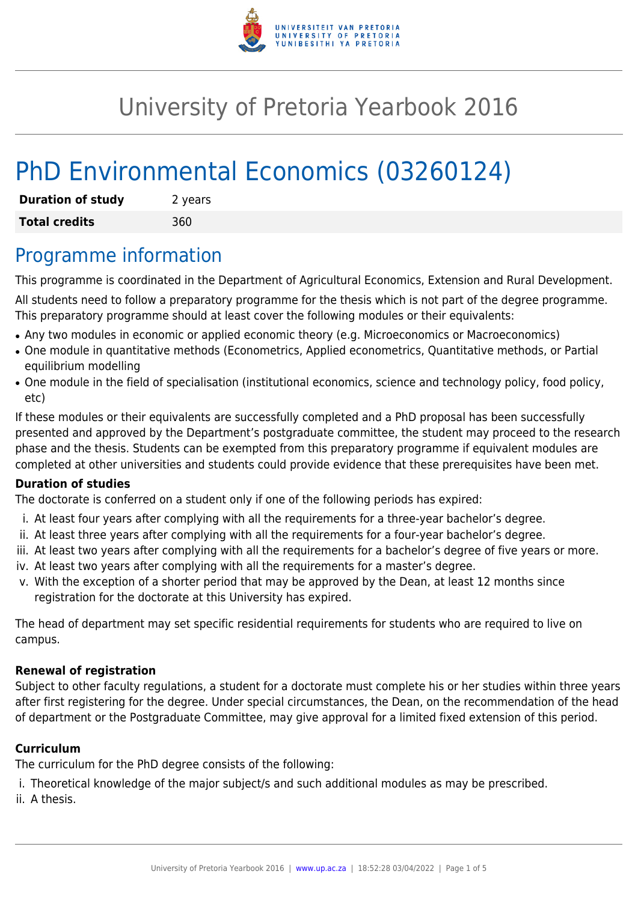

## University of Pretoria Yearbook 2016

# PhD Environmental Economics (03260124)

| <b>Duration of study</b> | 2 years |
|--------------------------|---------|
| <b>Total credits</b>     | 360     |

### Programme information

This programme is coordinated in the Department of Agricultural Economics, Extension and Rural Development.

All students need to follow a preparatory programme for the thesis which is not part of the degree programme. This preparatory programme should at least cover the following modules or their equivalents:

- Any two modules in economic or applied economic theory (e.g. Microeconomics or Macroeconomics)
- One module in quantitative methods (Econometrics, Applied econometrics, Quantitative methods, or Partial equilibrium modelling
- One module in the field of specialisation (institutional economics, science and technology policy, food policy, etc)

If these modules or their equivalents are successfully completed and a PhD proposal has been successfully presented and approved by the Department's postgraduate committee, the student may proceed to the research phase and the thesis. Students can be exempted from this preparatory programme if equivalent modules are completed at other universities and students could provide evidence that these prerequisites have been met.

### **Duration of studies**

The doctorate is conferred on a student only if one of the following periods has expired:

- i. At least four years after complying with all the requirements for a three-year bachelor's degree.
- ii. At least three years after complying with all the requirements for a four-year bachelor's degree.
- iii. At least two years after complying with all the requirements for a bachelor's degree of five years or more.
- iv. At least two years after complying with all the requirements for a master's degree.
- v. With the exception of a shorter period that may be approved by the Dean, at least 12 months since registration for the doctorate at this University has expired.

The head of department may set specific residential requirements for students who are required to live on campus.

### **Renewal of registration**

Subject to other faculty regulations, a student for a doctorate must complete his or her studies within three years after first registering for the degree. Under special circumstances, the Dean, on the recommendation of the head of department or the Postgraduate Committee, may give approval for a limited fixed extension of this period.

### **Curriculum**

The curriculum for the PhD degree consists of the following:

- i. Theoretical knowledge of the major subject/s and such additional modules as may be prescribed.
- ii. A thesis.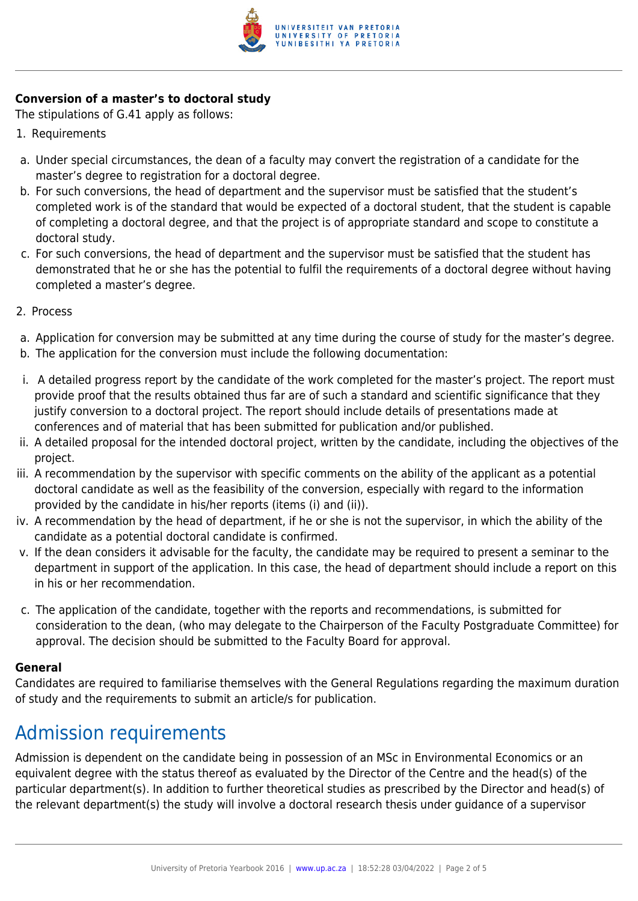

### **Conversion of a master's to doctoral study**

The stipulations of G.41 apply as follows:

- 1. Requirements
- a. Under special circumstances, the dean of a faculty may convert the registration of a candidate for the master's degree to registration for a doctoral degree.
- b. For such conversions, the head of department and the supervisor must be satisfied that the student's completed work is of the standard that would be expected of a doctoral student, that the student is capable of completing a doctoral degree, and that the project is of appropriate standard and scope to constitute a doctoral study.
- c. For such conversions, the head of department and the supervisor must be satisfied that the student has demonstrated that he or she has the potential to fulfil the requirements of a doctoral degree without having completed a master's degree.
- 2. Process
- a. Application for conversion may be submitted at any time during the course of study for the master's degree.
- b. The application for the conversion must include the following documentation:
- i. A detailed progress report by the candidate of the work completed for the master's project. The report must provide proof that the results obtained thus far are of such a standard and scientific significance that they justify conversion to a doctoral project. The report should include details of presentations made at conferences and of material that has been submitted for publication and/or published.
- ii. A detailed proposal for the intended doctoral project, written by the candidate, including the objectives of the project.
- iii. A recommendation by the supervisor with specific comments on the ability of the applicant as a potential doctoral candidate as well as the feasibility of the conversion, especially with regard to the information provided by the candidate in his/her reports (items (i) and (ii)).
- iv. A recommendation by the head of department, if he or she is not the supervisor, in which the ability of the candidate as a potential doctoral candidate is confirmed.
- v. If the dean considers it advisable for the faculty, the candidate may be required to present a seminar to the department in support of the application. In this case, the head of department should include a report on this in his or her recommendation.
- c. The application of the candidate, together with the reports and recommendations, is submitted for consideration to the dean, (who may delegate to the Chairperson of the Faculty Postgraduate Committee) for approval. The decision should be submitted to the Faculty Board for approval.

#### **General**

Candidates are required to familiarise themselves with the General Regulations regarding the maximum duration of study and the requirements to submit an article/s for publication.

### Admission requirements

Admission is dependent on the candidate being in possession of an MSc in Environmental Economics or an equivalent degree with the status thereof as evaluated by the Director of the Centre and the head(s) of the particular department(s). In addition to further theoretical studies as prescribed by the Director and head(s) of the relevant department(s) the study will involve a doctoral research thesis under guidance of a supervisor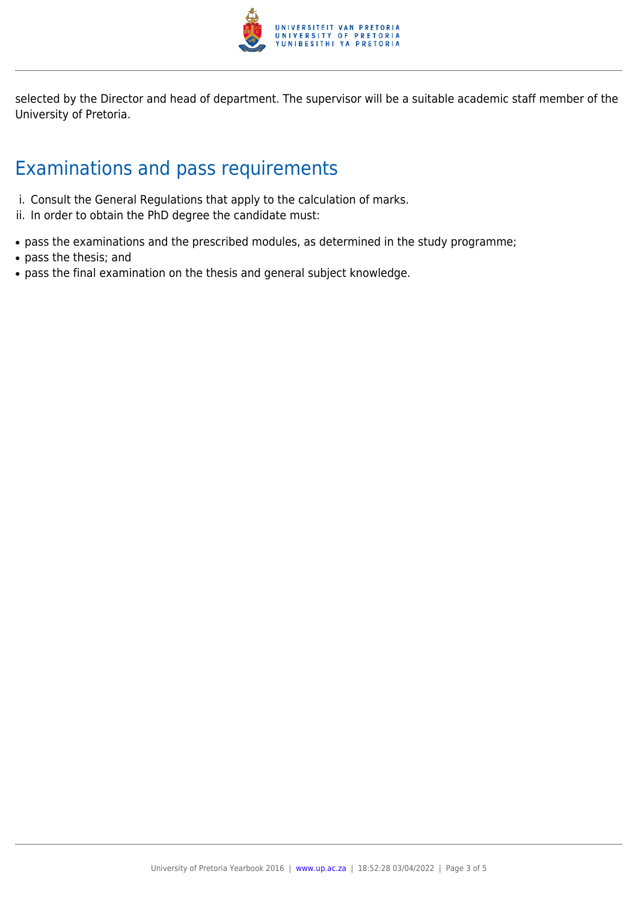

selected by the Director and head of department. The supervisor will be a suitable academic staff member of the University of Pretoria.

### Examinations and pass requirements

- i. Consult the General Regulations that apply to the calculation of marks.
- ii. In order to obtain the PhD degree the candidate must:
- pass the examinations and the prescribed modules, as determined in the study programme;
- pass the thesis; and
- pass the final examination on the thesis and general subject knowledge.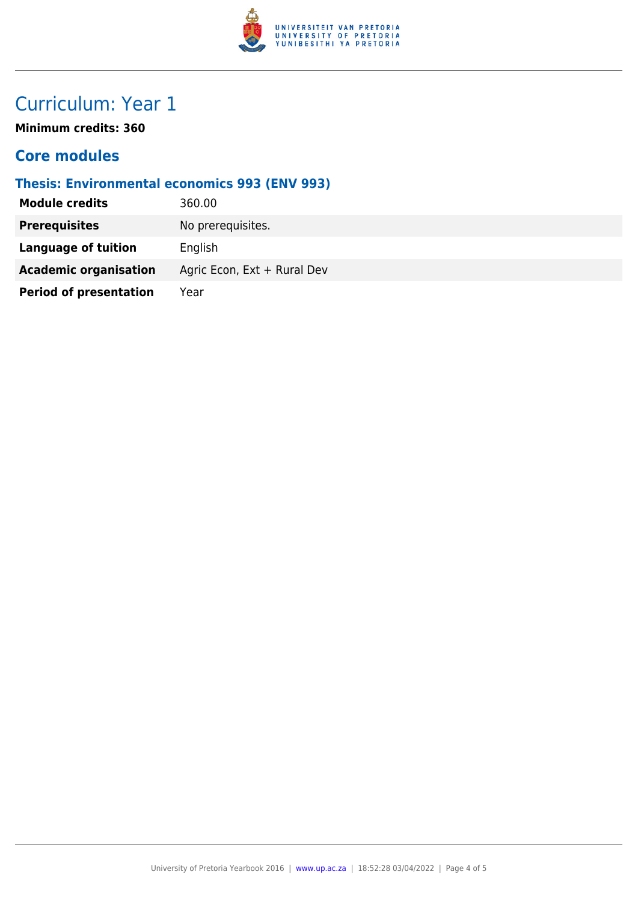

### Curriculum: Year 1

**Minimum credits: 360**

### **Core modules**

### **Thesis: Environmental economics 993 (ENV 993)**

| <b>Module credits</b>         | 360.00                      |
|-------------------------------|-----------------------------|
| <b>Prerequisites</b>          | No prerequisites.           |
| Language of tuition           | English                     |
| <b>Academic organisation</b>  | Agric Econ, Ext + Rural Dev |
| <b>Period of presentation</b> | Year                        |